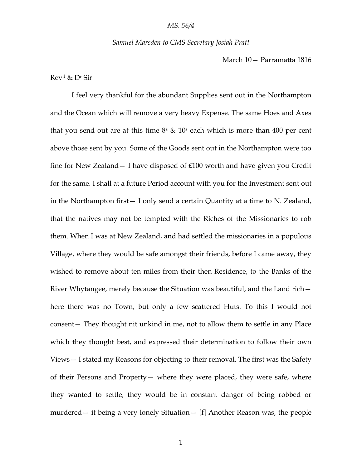#### *Samuel Marsden to CMS Secretary Josiah Pratt*

March 10— Parramatta 1816

Rev<sup>d</sup> & D<sup>r</sup> Sir

I feel very thankful for the abundant Supplies sent out in the Northampton and the Ocean which will remove a very heavy Expense. The same Hoes and Axes that you send out are at this time  $8^s$  & 10<sup>s</sup> each which is more than 400 per cent above those sent by you. Some of the Goods sent out in the Northampton were too fine for New Zealand— I have disposed of £100 worth and have given you Credit for the same. I shall at a future Period account with you for the Investment sent out in the Northampton first— I only send a certain Quantity at a time to N. Zealand, that the natives may not be tempted with the Riches of the Missionaries to rob them. When I was at New Zealand, and had settled the missionaries in a populous Village, where they would be safe amongst their friends, before I came away, they wished to remove about ten miles from their then Residence, to the Banks of the River Whytangee, merely because the Situation was beautiful, and the Land rich here there was no Town, but only a few scattered Huts. To this I would not consent— They thought nit unkind in me, not to allow them to settle in any Place which they thought best, and expressed their determination to follow their own Views— I stated my Reasons for objecting to their removal. The first was the Safety of their Persons and Property— where they were placed, they were safe, where they wanted to settle, they would be in constant danger of being robbed or murdered— it being a very lonely Situation— [f] Another Reason was, the people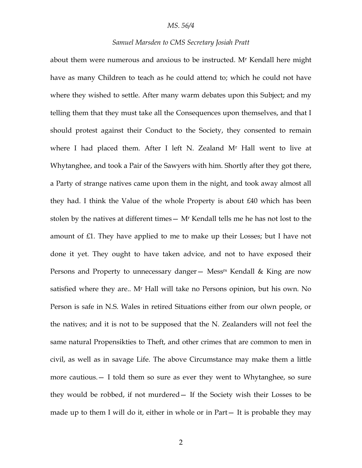## *Samuel Marsden to CMS Secretary Josiah Pratt*

about them were numerous and anxious to be instructed. M<sup>r</sup> Kendall here might have as many Children to teach as he could attend to; which he could not have where they wished to settle. After many warm debates upon this Subject; and my telling them that they must take all the Consequences upon themselves, and that I should protest against their Conduct to the Society, they consented to remain where I had placed them. After I left N. Zealand  $M<sup>r</sup>$  Hall went to live at Whytanghee, and took a Pair of the Sawyers with him. Shortly after they got there, a Party of strange natives came upon them in the night, and took away almost all they had. I think the Value of the whole Property is about £40 which has been stolen by the natives at different times— M<sup>r</sup> Kendall tells me he has not lost to the amount of £1. They have applied to me to make up their Losses; but I have not done it yet. They ought to have taken advice, and not to have exposed their Persons and Property to unnecessary danger - Mess<sup>rs</sup> Kendall & King are now satisfied where they are.. M<sup>r</sup> Hall will take no Persons opinion, but his own. No Person is safe in N.S. Wales in retired Situations either from our olwn people, or the natives; and it is not to be supposed that the N. Zealanders will not feel the same natural Propensikties to Theft, and other crimes that are common to men in civil, as well as in savage Life. The above Circumstance may make them a little more cautious.  $-$  I told them so sure as ever they went to Whytanghee, so sure they would be robbed, if not murdered— If the Society wish their Losses to be made up to them I will do it, either in whole or in Part— It is probable they may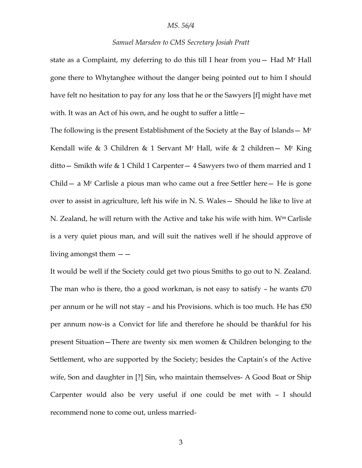# *Samuel Marsden to CMS Secretary Josiah Pratt*

state as a Complaint, my deferring to do this till I hear from you— Had M<sup>r</sup> Hall gone there to Whytanghee without the danger being pointed out to him I should have felt no hesitation to pay for any loss that he or the Sawyers [f] might have met with. It was an Act of his own, and he ought to suffer a little -

The following is the present Establishment of the Society at the Bay of Islands— M<sup>r</sup> Kendall wife & 3 Children & 1 Servant M<sup>r</sup> Hall, wife & 2 children - M<sup>r</sup> King ditto— Smikth wife & 1 Child 1 Carpenter— 4 Sawyers two of them married and 1 Child — a M<sup>r</sup> Carlisle a pious man who came out a free Settler here — He is gone over to assist in agriculture, left his wife in N. S. Wales— Should he like to live at N. Zealand, he will return with the Active and take his wife with him. Wm Carlisle is a very quiet pious man, and will suit the natives well if he should approve of living amongst them  $-$ 

It would be well if the Society could get two pious Smiths to go out to N. Zealand. The man who is there, tho a good workman, is not easy to satisfy  $-$  he wants  $£70$ per annum or he will not stay – and his Provisions. which is too much. He has £50 per annum now-is a Convict for life and therefore he should be thankful for his present Situation—There are twenty six men women & Children belonging to the Settlement, who are supported by the Society; besides the Captain's of the Active wife, Son and daughter in [?] Sin, who maintain themselves- A Good Boat or Ship Carpenter would also be very useful if one could be met with – I should recommend none to come out, unless married-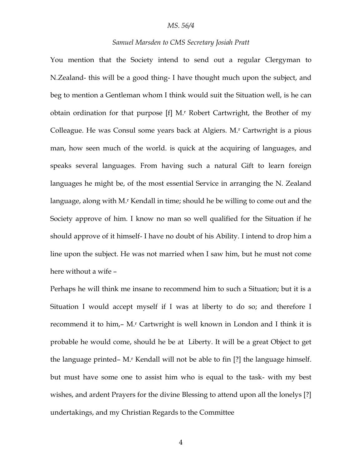# *Samuel Marsden to CMS Secretary Josiah Pratt*

You mention that the Society intend to send out a regular Clergyman to N.Zealand- this will be a good thing- I have thought much upon the subject, and beg to mention a Gentleman whom I think would suit the Situation well, is he can obtain ordination for that purpose [f] M.<sup>r</sup> Robert Cartwright, the Brother of my Colleague. He was Consul some years back at Algiers. M.<sup>r</sup> Cartwright is a pious man, how seen much of the world. is quick at the acquiring of languages, and speaks several languages. From having such a natural Gift to learn foreign languages he might be, of the most essential Service in arranging the N. Zealand language, along with M.<sup>r</sup> Kendall in time; should he be willing to come out and the Society approve of him. I know no man so well qualified for the Situation if he should approve of it himself- I have no doubt of his Ability. I intend to drop him a line upon the subject. He was not married when I saw him, but he must not come here without a wife –

Perhaps he will think me insane to recommend him to such a Situation; but it is a Situation I would accept myself if I was at liberty to do so; and therefore I recommend it to him,- M.<sup>r</sup> Cartwright is well known in London and I think it is probable he would come, should he be at Liberty. It will be a great Object to get the language printed–  $M<sub>r</sub>$  Kendall will not be able to fin [?] the language himself. but must have some one to assist him who is equal to the task- with my best wishes, and ardent Prayers for the divine Blessing to attend upon all the lonelys [?] undertakings, and my Christian Regards to the Committee